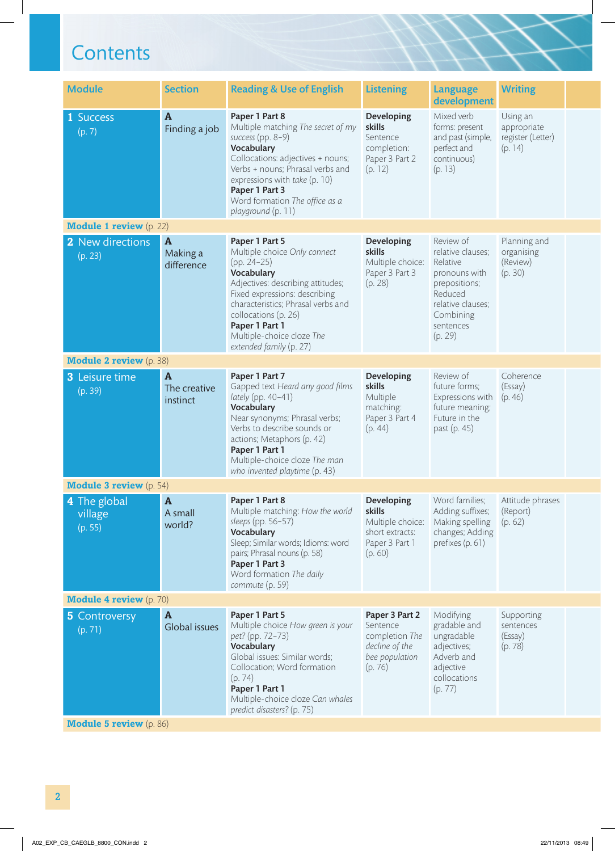$\overline{\phantom{a}}$ 

| <b>Module</b>                      | <b>Section</b>                           | <b>Reading &amp; Use of English</b>                                                                                                                                                                                                                                                         | <b>Listening</b>                                                                                | <b>Language</b><br>development                                                                                                                    | <b>Writing</b>                                          |  |
|------------------------------------|------------------------------------------|---------------------------------------------------------------------------------------------------------------------------------------------------------------------------------------------------------------------------------------------------------------------------------------------|-------------------------------------------------------------------------------------------------|---------------------------------------------------------------------------------------------------------------------------------------------------|---------------------------------------------------------|--|
| 1 Success<br>(p. 7)                | $\mathbf{A}$<br>Finding a job            | Paper 1 Part 8<br>Multiple matching The secret of my<br>success (pp. 8-9)<br>Vocabulary<br>Collocations: adjectives + nouns;<br>Verbs + nouns; Phrasal verbs and<br>expressions with take (p. 10)<br>Paper 1 Part 3<br>Word formation The office as a<br>playground (p. 11)                 | Developing<br>skills<br>Sentence<br>completion:<br>Paper 3 Part 2<br>(p. 12)                    | Mixed verb<br>forms: present<br>and past (simple,<br>perfect and<br>continuous)<br>(p. 13)                                                        | Using an<br>appropriate<br>register (Letter)<br>(p. 14) |  |
| <b>Module 1 review</b> (p. 22)     |                                          |                                                                                                                                                                                                                                                                                             |                                                                                                 |                                                                                                                                                   |                                                         |  |
| 2 New directions<br>(p. 23)        | $\mathbf{A}$<br>Making a<br>difference   | Paper 1 Part 5<br>Multiple choice Only connect<br>$(pp. 24-25)$<br>Vocabulary<br>Adjectives: describing attitudes;<br>Fixed expressions: describing<br>characteristics; Phrasal verbs and<br>collocations (p. 26)<br>Paper 1 Part 1<br>Multiple-choice cloze The<br>extended family (p. 27) | Developing<br>skills<br>Multiple choice:<br>Paper 3 Part 3<br>(p. 28)                           | Review of<br>relative clauses;<br>Relative<br>pronouns with<br>prepositions;<br>Reduced<br>relative clauses;<br>Combining<br>sentences<br>(p. 29) | Planning and<br>organising<br>(Review)<br>(p. 30)       |  |
| <b>Module 2 review</b> (p. 38)     |                                          |                                                                                                                                                                                                                                                                                             |                                                                                                 |                                                                                                                                                   |                                                         |  |
| <b>3</b> Leisure time<br>(p. 39)   | $\mathbf{A}$<br>The creative<br>instinct | Paper 1 Part 7<br>Gapped text Heard any good films<br>lately (pp. 40-41)<br>Vocabulary<br>Near synonyms; Phrasal verbs;<br>Verbs to describe sounds or<br>actions; Metaphors (p. 42)<br>Paper 1 Part 1<br>Multiple-choice cloze The man<br>who invented playtime (p. 43)                    | Developing<br>skills<br>Multiple<br>matching:<br>Paper 3 Part 4<br>(p. 44)                      | Review of<br>future forms;<br>Expressions with<br>future meaning;<br>Future in the<br>past (p. 45)                                                | Coherence<br>(Essay)<br>(p. 46)                         |  |
| <b>Module 3 review</b> (p. 54)     |                                          |                                                                                                                                                                                                                                                                                             |                                                                                                 |                                                                                                                                                   |                                                         |  |
| 4 The global<br>village<br>(p. 55) | $\mathbf{A}$<br>A small<br>world?        | Paper 1 Part 8<br>Multiple matching: How the world<br>sleeps (pp. 56-57)<br>Vocabulary<br>Sleep; Similar words; Idioms: word<br>pairs; Phrasal nouns (p. 58)<br>Paper 1 Part 3<br>Word formation The daily<br>commute (p. 59)                                                               | <b>Developing</b><br>skills<br>Multiple choice:<br>short extracts:<br>Paper 3 Part 1<br>(p. 60) | Word families;<br>Adding suffixes;<br>Making spelling<br>changes; Adding<br>prefixes (p. 61)                                                      | Attitude phrases<br>(Report)<br>(p. 62)                 |  |
| <b>Module 4 review</b> (p. 70)     |                                          |                                                                                                                                                                                                                                                                                             |                                                                                                 |                                                                                                                                                   |                                                         |  |
| <b>5</b> Controversy<br>(p. 71)    | $\mathbf{A}$<br>Global issues            | Paper 1 Part 5<br>Multiple choice How green is your<br>pet? (pp. 72–73)<br>Vocabulary<br>Global issues: Similar words;<br>Collocation; Word formation<br>(p. 74)<br>Paper 1 Part 1<br>Multiple-choice cloze Can whales<br>predict disasters? (p. 75)                                        | Paper 3 Part 2<br>Sentence<br>completion The<br>decline of the<br>bee population<br>(p. 76)     | Modifying<br>gradable and<br>ungradable<br>adjectives;<br>Adverb and<br>adjective<br>collocations<br>(p. 77)                                      | Supporting<br>sentences<br>(Essay)<br>(p. 78)           |  |
| <b>Module 5 review</b> (p. 86)     |                                          |                                                                                                                                                                                                                                                                                             |                                                                                                 |                                                                                                                                                   |                                                         |  |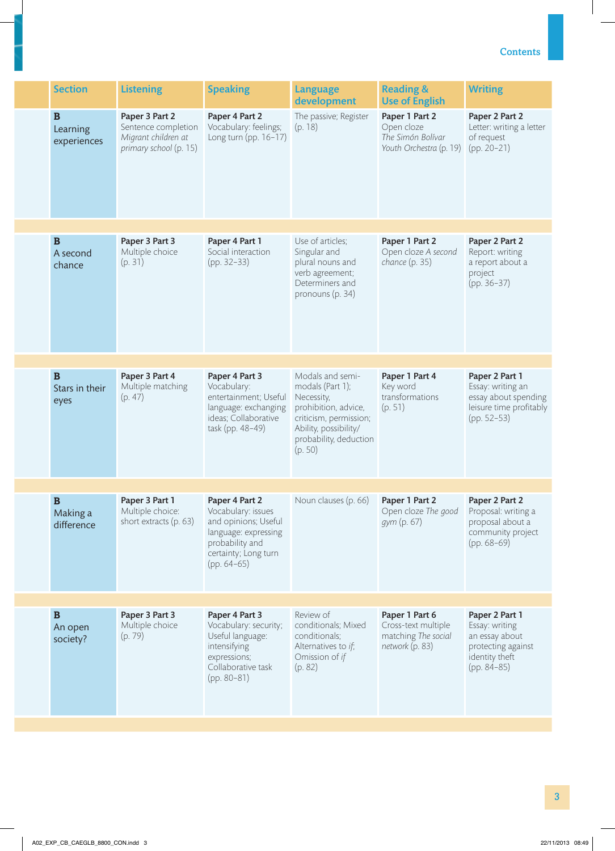| Paper 3 Part 2<br>Paper 1 Part 2<br>Paper 2 Part 2<br>$\bf{B}$<br>Paper 4 Part 2<br>The passive; Register<br>Vocabulary: feelings;<br>Open cloze<br>Sentence completion<br>Letter: writing a letter<br>(p. 18)<br>Learning<br>Migrant children at<br>Long turn (pp. 16-17)<br>The Simón Bolívar<br>of request<br>experiences<br>primary school (p. 15)<br>Youth Orchestra (p. 19)<br>$(pp. 20-21)$<br>$\bf{B}$<br>Paper 1 Part 2<br>Paper 3 Part 3<br>Paper 4 Part 1<br>Use of articles;<br>Paper 2 Part 2<br>Social interaction<br>Multiple choice<br>Singular and<br>Open cloze A second<br>Report: writing<br>A second<br>chance (p. 35)<br>$(pp. 32-33)$<br>plural nouns and<br>a report about a<br>(p. 31)<br>chance<br>verb agreement;<br>project<br>Determiners and<br>$(pp. 36-37)$<br>pronouns (p. 34)<br>$\bf{B}$<br>Paper 1 Part 4<br>Paper 3 Part 4<br>Paper 4 Part 3<br>Modals and semi-<br>Paper 2 Part 1<br>Vocabulary:<br>modals (Part 1);<br>Key word<br>Multiple matching<br>Essay: writing an<br>Stars in their<br>transformations<br>entertainment; Useful<br>Necessity,<br>essay about spending<br>(p. 47)<br>eyes<br>prohibition, advice,<br>(p. 51)<br>leisure time profitably<br>language: exchanging<br>ideas; Collaborative<br>criticism, permission;<br>$(pp. 52-53)$<br>Ability, possibility/<br>task (pp. 48-49)<br>probability, deduction<br>(p. 50)<br>$\mathbf B$<br>Paper 3 Part 1<br>Noun clauses (p. 66)<br>Paper 1 Part 2<br>Paper 2 Part 2<br>Paper 4 Part 2<br>Vocabulary: issues<br>Open cloze The good<br>Multiple choice:<br>Proposal: writing a<br>Making a<br>short extracts (p. 63)<br>and opinions; Useful<br><i>gym</i> (p. 67)<br>proposal about a<br>difference<br>language: expressing<br>community project<br>probability and<br>$(pp. 68-69)$<br>certainty; Long turn<br>$(pp. 64-65)$<br>$\mathbf B$<br>Paper 3 Part 3<br>Paper 4 Part 3<br>Review of<br>Paper 1 Part 6<br>Paper 2 Part 1<br>Multiple choice<br>Vocabulary: security;<br>conditionals; Mixed<br>Cross-text multiple<br>Essay: writing<br>An open<br>matching The social<br>Useful language:<br>conditionals;<br>(p. 79)<br>an essay about<br>society?<br>intensifying<br>Alternatives to if;<br>network (p. 83)<br>protecting against<br>Omission of if<br>identity theft<br>expressions;<br>Collaborative task<br>(p. 82)<br>$(pp. 84-85)$<br>$(pp. 80-81)$ | <b>Section</b> | <b>Listening</b> | <b>Speaking</b> | <b>Language</b><br>development | <b>Reading &amp;</b><br><b>Use of English</b> | <b>Writing</b> |
|----------------------------------------------------------------------------------------------------------------------------------------------------------------------------------------------------------------------------------------------------------------------------------------------------------------------------------------------------------------------------------------------------------------------------------------------------------------------------------------------------------------------------------------------------------------------------------------------------------------------------------------------------------------------------------------------------------------------------------------------------------------------------------------------------------------------------------------------------------------------------------------------------------------------------------------------------------------------------------------------------------------------------------------------------------------------------------------------------------------------------------------------------------------------------------------------------------------------------------------------------------------------------------------------------------------------------------------------------------------------------------------------------------------------------------------------------------------------------------------------------------------------------------------------------------------------------------------------------------------------------------------------------------------------------------------------------------------------------------------------------------------------------------------------------------------------------------------------------------------------------------------------------------------------------------------------------------------------------------------------------------------------------------------------------------------------------------------------------------------------------------------------------------------------------------------------------------------------------------------------------------------------------------------------------------------------------------------------------------------------------------|----------------|------------------|-----------------|--------------------------------|-----------------------------------------------|----------------|
|                                                                                                                                                                                                                                                                                                                                                                                                                                                                                                                                                                                                                                                                                                                                                                                                                                                                                                                                                                                                                                                                                                                                                                                                                                                                                                                                                                                                                                                                                                                                                                                                                                                                                                                                                                                                                                                                                                                                                                                                                                                                                                                                                                                                                                                                                                                                                                                  |                |                  |                 |                                |                                               |                |
|                                                                                                                                                                                                                                                                                                                                                                                                                                                                                                                                                                                                                                                                                                                                                                                                                                                                                                                                                                                                                                                                                                                                                                                                                                                                                                                                                                                                                                                                                                                                                                                                                                                                                                                                                                                                                                                                                                                                                                                                                                                                                                                                                                                                                                                                                                                                                                                  |                |                  |                 |                                |                                               |                |
|                                                                                                                                                                                                                                                                                                                                                                                                                                                                                                                                                                                                                                                                                                                                                                                                                                                                                                                                                                                                                                                                                                                                                                                                                                                                                                                                                                                                                                                                                                                                                                                                                                                                                                                                                                                                                                                                                                                                                                                                                                                                                                                                                                                                                                                                                                                                                                                  |                |                  |                 |                                |                                               |                |
|                                                                                                                                                                                                                                                                                                                                                                                                                                                                                                                                                                                                                                                                                                                                                                                                                                                                                                                                                                                                                                                                                                                                                                                                                                                                                                                                                                                                                                                                                                                                                                                                                                                                                                                                                                                                                                                                                                                                                                                                                                                                                                                                                                                                                                                                                                                                                                                  |                |                  |                 |                                |                                               |                |
|                                                                                                                                                                                                                                                                                                                                                                                                                                                                                                                                                                                                                                                                                                                                                                                                                                                                                                                                                                                                                                                                                                                                                                                                                                                                                                                                                                                                                                                                                                                                                                                                                                                                                                                                                                                                                                                                                                                                                                                                                                                                                                                                                                                                                                                                                                                                                                                  |                |                  |                 |                                |                                               |                |
|                                                                                                                                                                                                                                                                                                                                                                                                                                                                                                                                                                                                                                                                                                                                                                                                                                                                                                                                                                                                                                                                                                                                                                                                                                                                                                                                                                                                                                                                                                                                                                                                                                                                                                                                                                                                                                                                                                                                                                                                                                                                                                                                                                                                                                                                                                                                                                                  |                |                  |                 |                                |                                               |                |
|                                                                                                                                                                                                                                                                                                                                                                                                                                                                                                                                                                                                                                                                                                                                                                                                                                                                                                                                                                                                                                                                                                                                                                                                                                                                                                                                                                                                                                                                                                                                                                                                                                                                                                                                                                                                                                                                                                                                                                                                                                                                                                                                                                                                                                                                                                                                                                                  |                |                  |                 |                                |                                               |                |
|                                                                                                                                                                                                                                                                                                                                                                                                                                                                                                                                                                                                                                                                                                                                                                                                                                                                                                                                                                                                                                                                                                                                                                                                                                                                                                                                                                                                                                                                                                                                                                                                                                                                                                                                                                                                                                                                                                                                                                                                                                                                                                                                                                                                                                                                                                                                                                                  |                |                  |                 |                                |                                               |                |
|                                                                                                                                                                                                                                                                                                                                                                                                                                                                                                                                                                                                                                                                                                                                                                                                                                                                                                                                                                                                                                                                                                                                                                                                                                                                                                                                                                                                                                                                                                                                                                                                                                                                                                                                                                                                                                                                                                                                                                                                                                                                                                                                                                                                                                                                                                                                                                                  |                |                  |                 |                                |                                               |                |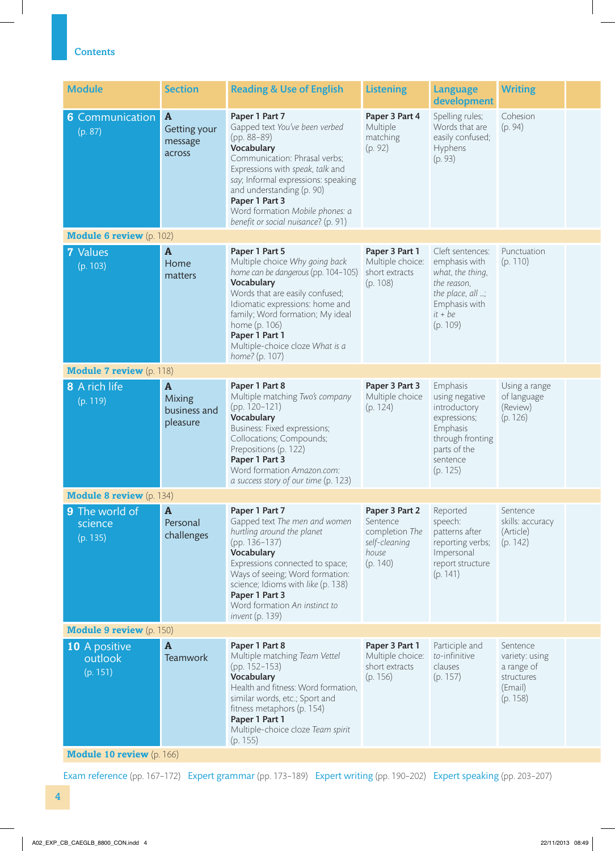| <b>Module</b>                         | <b>Section</b>                                            | <b>Reading &amp; Use of English</b>                                                                                                                                                                                                                                                                                | <b>Listening</b>                                                                   | Language<br>development                                                                                                            | <b>Writing</b>                                                                |  |
|---------------------------------------|-----------------------------------------------------------|--------------------------------------------------------------------------------------------------------------------------------------------------------------------------------------------------------------------------------------------------------------------------------------------------------------------|------------------------------------------------------------------------------------|------------------------------------------------------------------------------------------------------------------------------------|-------------------------------------------------------------------------------|--|
| <b>6</b> Communication<br>(p. 87)     | $\overline{A}$<br>Getting your<br>message<br>across       | Paper 1 Part 7<br>Gapped text You've been verbed<br>(pp. 88-89)<br>Vocabulary<br>Communication: Phrasal verbs;<br>Expressions with speak, talk and<br>say; Informal expressions: speaking<br>and understanding (p. 90)<br>Paper 1 Part 3<br>Word formation Mobile phones: a<br>benefit or social nuisance? (p. 91) | Paper 3 Part 4<br>Multiple<br>matching<br>(p. 92)                                  | Spelling rules;<br>Words that are<br>easily confused;<br>Hyphens<br>(p. 93)                                                        | Cohesion<br>(p. 94)                                                           |  |
| <b>Module 6 review</b> (p. 102)       |                                                           |                                                                                                                                                                                                                                                                                                                    |                                                                                    |                                                                                                                                    |                                                                               |  |
| 7 Values<br>(p. 103)                  | $\mathbf{A}$<br>Home<br>matters                           | Paper 1 Part 5<br>Multiple choice Why going back<br>home can be dangerous (pp. 104-105)<br>Vocabulary<br>Words that are easily confused;<br>Idiomatic expressions: home and<br>family; Word formation; My ideal<br>home (p. 106)<br>Paper 1 Part 1<br>Multiple-choice cloze What is a<br>home? (p. 107)            | Paper 3 Part 1<br>Multiple choice:<br>short extracts<br>(p. 108)                   | Cleft sentences:<br>emphasis with<br>what, the thing,<br>the reason,<br>the place, all ;<br>Emphasis with<br>$it + be$<br>(p. 109) | Punctuation<br>(p. 110)                                                       |  |
| <b>Module 7 review</b> (p. 118)       |                                                           |                                                                                                                                                                                                                                                                                                                    |                                                                                    |                                                                                                                                    |                                                                               |  |
| 8 A rich life<br>(p. 119)             | $\mathbf{A}$<br><b>Mixing</b><br>business and<br>pleasure | Paper 1 Part 8<br>Multiple matching Two's company<br>(pp. 120-121)<br>Vocabulary<br>Business: Fixed expressions;<br>Collocations; Compounds;<br>Prepositions (p. 122)<br>Paper 1 Part 3<br>Word formation Amazon.com:<br>a success story of our time (p. 123)                                                      | Paper 3 Part 3<br>Multiple choice<br>(p. 124)                                      | Emphasis<br>using negative<br>introductory<br>expressions;<br>Emphasis<br>through fronting<br>parts of the<br>sentence<br>(p. 125) | Using a range<br>of language<br>(Review)<br>(p. 126)                          |  |
| <b>Module 8 review</b> (p. 134)       |                                                           |                                                                                                                                                                                                                                                                                                                    |                                                                                    |                                                                                                                                    |                                                                               |  |
| 9 The world of<br>science<br>(p. 135) | $\boldsymbol{\mathsf{A}}$<br>Personal<br>challenges       | Paper 1 Part 7<br>Gapped text The men and women<br>hurtling around the planet<br>(pp. 136-137)<br>Vocabulary<br>Expressions connected to space;<br>Ways of seeing; Word formation:<br>science; Idioms with like (p. 138)<br>Paper 1 Part 3<br>Word formation An instinct to<br><i>invent</i> (p. 139)              | Paper 3 Part 2<br>Sentence<br>completion The<br>self-cleaning<br>house<br>(p. 140) | Reported<br>speech:<br>patterns after<br>reporting verbs;<br>Impersonal<br>report structure<br>(p. 141)                            | Sentence<br>skills: accuracy<br>(Article)<br>(p. 142)                         |  |
| <b>Module 9 review</b> (p. 150)       |                                                           |                                                                                                                                                                                                                                                                                                                    |                                                                                    |                                                                                                                                    |                                                                               |  |
| 10 A positive<br>outlook<br>(p. 151)  | $\mathbf{A}$<br><b>Teamwork</b>                           | Paper 1 Part 8<br>Multiple matching Team Vettel<br>$(pp. 152 - 153)$<br>Vocabulary<br>Health and fitness: Word formation,<br>similar words, etc.; Sport and<br>fitness metaphors (p. 154)<br>Paper 1 Part 1<br>Multiple-choice cloze Team spirit<br>(p. 155)                                                       | Paper 3 Part 1<br>Multiple choice:<br>short extracts<br>(p. 156)                   | Participle and<br>to-infinitive<br>clauses<br>(p. 157)                                                                             | Sentence<br>variety: using<br>a range of<br>structures<br>(Email)<br>(p. 158) |  |
| <b>Module 10 review</b> (p. 166)      |                                                           |                                                                                                                                                                                                                                                                                                                    |                                                                                    |                                                                                                                                    |                                                                               |  |

Exam reference (pp. 167–172) Expert grammar (pp. 173–189) Expert writing (pp. 190–202) Expert speaking (pp. 203–207)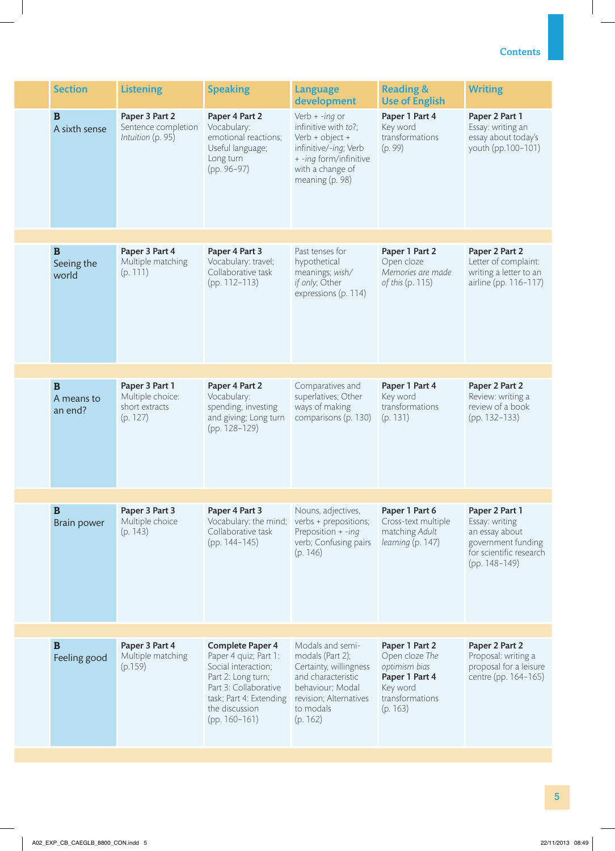| <b>Section</b>                     | <b>Listening</b>                                                 | <b>Speaking</b>                                                                                                                                   | <b>Language</b><br>development                                                                                                                         | <b>Reading &amp;</b><br><b>Use of English</b>                                                      | <b>Writing</b>                                                                                                       |
|------------------------------------|------------------------------------------------------------------|---------------------------------------------------------------------------------------------------------------------------------------------------|--------------------------------------------------------------------------------------------------------------------------------------------------------|----------------------------------------------------------------------------------------------------|----------------------------------------------------------------------------------------------------------------------|
| $\mathbf B$<br>A sixth sense       | Paper 3 Part 2<br>Sentence completion<br>Intuition (p. 95)       | Paper 4 Part 2<br>Vocabulary:<br>emotional reactions;<br>Useful language;<br>Long turn<br>(pp. 96-97)                                             | Verb $+ -$ ing or<br>infinitive with to?;<br>Verb + object +<br>infinitive/-ing; Verb<br>+ -ing form/infinitive<br>with a change of<br>meaning (p. 98) | Paper 1 Part 4<br>Key word<br>transformations<br>(p. 99)                                           | Paper 2 Part 1<br>Essay: writing an<br>essay about today's<br>youth (pp.100-101)                                     |
|                                    |                                                                  |                                                                                                                                                   |                                                                                                                                                        |                                                                                                    |                                                                                                                      |
| $\mathbf B$<br>Seeing the<br>world | Paper 3 Part 4<br>Multiple matching<br>(p. 111)                  | Paper 4 Part 3<br>Vocabulary: travel;<br>Collaborative task<br>(pp. 112-113)                                                                      | Past tenses for<br>hypothetical<br>meanings; wish/<br>if only; Other<br>expressions (p. 114)                                                           | Paper 1 Part 2<br>Open cloze<br>Memories are made<br>of this (p. 115)                              | Paper 2 Part 2<br>Letter of complaint:<br>writing a letter to an<br>airline (pp. 116-117)                            |
|                                    |                                                                  |                                                                                                                                                   |                                                                                                                                                        |                                                                                                    |                                                                                                                      |
| $\bf{B}$<br>A means to<br>an end?  | Paper 3 Part 1<br>Multiple choice:<br>short extracts<br>(p. 127) | Paper 4 Part 2<br>Vocabulary:<br>spending, investing<br>and giving; Long turn<br>(pp. 128-129)                                                    | Comparatives and<br>superlatives; Other<br>ways of making<br>comparisons (p. 130)                                                                      | Paper 1 Part 4<br>Key word<br>transformations<br>(p. 131)                                          | Paper 2 Part 2<br>Review: writing a<br>review of a book<br>(pp. 132-133)                                             |
|                                    |                                                                  |                                                                                                                                                   |                                                                                                                                                        |                                                                                                    |                                                                                                                      |
| B<br><b>Brain power</b>            | Paper 3 Part 3<br>Multiple choice<br>(p. 143)                    | Paper 4 Part 3<br>Vocabulary: the mind;<br>Collaborative task<br>$(pp. 144-145)$                                                                  | Nouns, adjectives,<br>verbs + prepositions;<br>Preposition + -inq<br>verb; Confusing pairs<br>(p. 146)                                                 | Paper 1 Part 6<br>Cross-text multiple<br>matching Adult<br>learning (p. 147)                       | Paper 2 Part 1<br>Essay: writing<br>an essay about<br>government funding<br>for scientific research<br>(pp. 148-149) |
|                                    |                                                                  |                                                                                                                                                   |                                                                                                                                                        |                                                                                                    |                                                                                                                      |
| $\mathbf B$<br>Feeling good        | Paper 3 Part 4<br>Multiple matching<br>(p.159)                   | <b>Complete Paper 4</b><br>Paper 4 quiz; Part 1:<br>Social interaction;<br>Part 2: Long turn;<br>Part 3: Collaborative<br>task; Part 4: Extending | Modals and semi-<br>modals (Part 2);<br>Certainty, willingness<br>and characteristic<br>behaviour; Modal<br>revision; Alternatives                     | Paper 1 Part 2<br>Open cloze The<br>optimism bias<br>Paper 1 Part 4<br>Key word<br>transformations | Paper 2 Part 2<br>Proposal: writing a<br>proposal for a leisure<br>centre (pp. 164-165)                              |